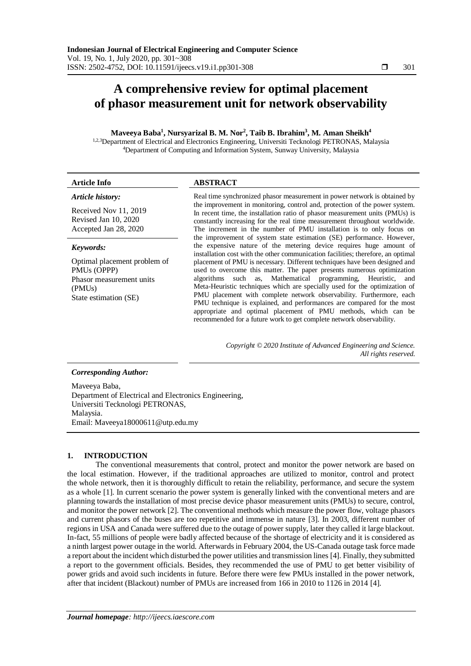# **A comprehensive review for optimal placement of phasor measurement unit for network observability**

## **Maveeya Baba<sup>1</sup> , Nursyarizal B. M. Nor<sup>2</sup> , Taib B. Ibrahim<sup>3</sup> , M. Aman Sheikh<sup>4</sup>**

1,2,3 Department of Electrical and Electronics Engineering, Universiti Tecknologi PETRONAS, Malaysia <sup>4</sup>Department of Computing and Information System, Sunway University, Malaysia

| <b>Article Info</b>                                                    | <b>ABSTRACT</b>                                                                                                                                                                                                                                                                                                                                                                                                                                                                                                                                                                                                                  |  |  |  |  |  |
|------------------------------------------------------------------------|----------------------------------------------------------------------------------------------------------------------------------------------------------------------------------------------------------------------------------------------------------------------------------------------------------------------------------------------------------------------------------------------------------------------------------------------------------------------------------------------------------------------------------------------------------------------------------------------------------------------------------|--|--|--|--|--|
| Article history:                                                       | Real time synchronized phasor measurement in power network is obtained by<br>the improvement in monitoring, control and, protection of the power system.<br>In recent time, the installation ratio of phasor measurement units (PMUs) is<br>constantly increasing for the real time measurement throughout worldwide.<br>The increment in the number of PMU installation is to only focus on<br>the improvement of system state estimation (SE) performance. However,<br>the expensive nature of the metering device requires huge amount of<br>installation cost with the other communication facilities; therefore, an optimal |  |  |  |  |  |
| Received Nov 11, 2019<br>Revised Jan 10, 2020<br>Accepted Jan 28, 2020 |                                                                                                                                                                                                                                                                                                                                                                                                                                                                                                                                                                                                                                  |  |  |  |  |  |
| Keywords:                                                              |                                                                                                                                                                                                                                                                                                                                                                                                                                                                                                                                                                                                                                  |  |  |  |  |  |
| Optimal placement problem of                                           | placement of PMU is necessary. Different techniques have been designed and                                                                                                                                                                                                                                                                                                                                                                                                                                                                                                                                                       |  |  |  |  |  |
| PMU <sub>s</sub> (OPPP)                                                | used to overcome this matter. The paper presents numerous optimization                                                                                                                                                                                                                                                                                                                                                                                                                                                                                                                                                           |  |  |  |  |  |
| Phasor measurement units                                               | algorithms such as, Mathematical programming, Heuristic, and                                                                                                                                                                                                                                                                                                                                                                                                                                                                                                                                                                     |  |  |  |  |  |
| (PMU <sub>s</sub> )                                                    | Meta-Heuristic techniques which are specially used for the optimization of                                                                                                                                                                                                                                                                                                                                                                                                                                                                                                                                                       |  |  |  |  |  |
| $Q_{\text{toto}}$ octimation $Q_{\text{F}}$                            | PMU placement with complete network observability. Furthermore, each                                                                                                                                                                                                                                                                                                                                                                                                                                                                                                                                                             |  |  |  |  |  |

State estimation (SE)

*Copyright © 2020 Institute of Advanced Engineering and Science. All rights reserved.*

PMU technique is explained, and performances are compared for the most appropriate and optimal placement of PMU methods, which can be recommended for a future work to get complete network observability.

## *Corresponding Author:*

Maveeya Baba, Department of Electrical and Electronics Engineering, Universiti Tecknologi PETRONAS, Malaysia. Email: Maveeya18000611@utp.edu.my

# **1. INTRODUCTION**

The conventional measurements that control, protect and monitor the power network are based on the local estimation. However, if the traditional approaches are utilized to monitor, control and protect the whole network, then it is thoroughly difficult to retain the reliability, performance, and secure the system as a whole [1]. In current scenario the power system is generally linked with the conventional meters and are planning towards the installation of most precise device phasor measurement units (PMUs) to secure, control, and monitor the power network [2]. The conventional methods which measure the power flow, voltage phasors and current phasors of the buses are too repetitive and immense in nature [3]. In 2003, different number of regions in USA and Canada were suffered due to the outage of power supply, later they called it large blackout. In-fact, 55 millions of people were badly affected because of the shortage of electricity and it is considered as a ninth largest power outage in the world. Afterwards in February 2004, the US-Canada outage task force made a report about the incident which disturbed the power utilities and transmission lines [4]. Finally, they submitted a report to the government officials. Besides, they recommended the use of PMU to get better visibility of power grids and avoid such incidents in future. Before there were few PMUs installed in the power network, after that incident (Blackout) number of PMUs are increased from 166 in 2010 to 1126 in 2014 [4].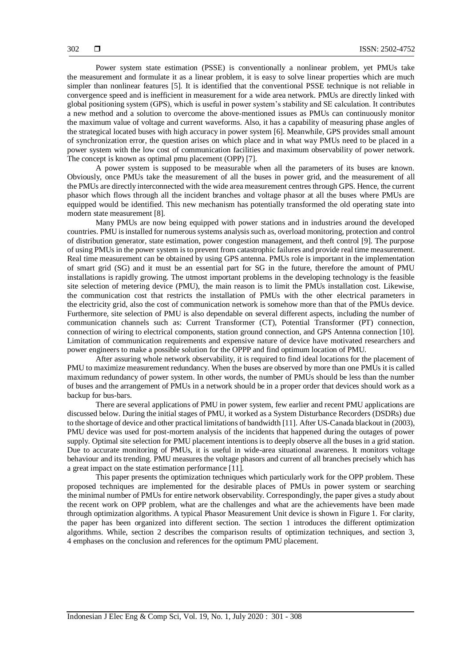Power system state estimation (PSSE) is conventionally a nonlinear problem, yet PMUs take the measurement and formulate it as a linear problem, it is easy to solve linear properties which are much simpler than nonlinear features [5]. It is identified that the conventional PSSE technique is not reliable in convergence speed and is inefficient in measurement for a wide area network. PMUs are directly linked with global positioning system (GPS), which is useful in power system's stability and SE calculation. It contributes a new method and a solution to overcome the above-mentioned issues as PMUs can continuously monitor the maximum value of voltage and current waveforms. Also, it has a capability of measuring phase angles of the strategical located buses with high accuracy in power system [6]. Meanwhile, GPS provides small amount of synchronization error, the question arises on which place and in what way PMUs need to be placed in a power system with the low cost of communication facilities and maximum observability of power network. The concept is known as optimal pmu placement (OPP) [7].

A power system is supposed to be measurable when all the parameters of its buses are known. Obviously, once PMUs take the measurement of all the buses in power grid, and the measurement of all the PMUs are directly interconnected with the wide area measurement centres through GPS. Hence, the current phasor which flows through all the incident branches and voltage phasor at all the buses where PMUs are equipped would be identified. This new mechanism has potentially transformed the old operating state into modern state measurement [8].

Many PMUs are now being equipped with power stations and in industries around the developed countries. PMU is installed for numerous systems analysis such as, overload monitoring, protection and control of distribution generator, state estimation, power congestion management, and theft control [9]. The purpose of using PMUs in the power system is to prevent from catastrophic failures and provide real time measurement. Real time measurement can be obtained by using GPS antenna. PMUs role is important in the implementation of smart grid (SG) and it must be an essential part for SG in the future, therefore the amount of PMU installations is rapidly growing. The utmost important problems in the developing technology is the feasible site selection of metering device (PMU), the main reason is to limit the PMUs installation cost. Likewise, the communication cost that restricts the installation of PMUs with the other electrical parameters in the electricity grid, also the cost of communication network is somehow more than that of the PMUs device. Furthermore, site selection of PMU is also dependable on several different aspects, including the number of communication channels such as: Current Transformer (CT), Potential Transformer (PT) connection, connection of wiring to electrical components, station ground connection, and GPS Antenna connection [10]. Limitation of communication requirements and expensive nature of device have motivated researchers and power engineers to make a possible solution for the OPPP and find optimum location of PMU.

After assuring whole network observability, it is required to find ideal locations for the placement of PMU to maximize measurement redundancy. When the buses are observed by more than one PMUs it is called maximum redundancy of power system. In other words, the number of PMUs should be less than the number of buses and the arrangement of PMUs in a network should be in a proper order that devices should work as a backup for bus-bars.

There are several applications of PMU in power system, few earlier and recent PMU applications are discussed below. During the initial stages of PMU, it worked as a System Disturbance Recorders (DSDRs) due to the shortage of device and other practical limitations of bandwidth [11]. After US-Canada blackout in (2003), PMU device was used for post-mortem analysis of the incidents that happened during the outages of power supply. Optimal site selection for PMU placement intentions is to deeply observe all the buses in a grid station. Due to accurate monitoring of PMUs, it is useful in wide-area situational awareness. It monitors voltage behaviour and its trending. PMU measures the voltage phasors and current of all branches precisely which has a great impact on the state estimation performance [11].

This paper presents the optimization techniques which particularly work for the OPP problem. These proposed techniques are implemented for the desirable places of PMUs in power system or searching the minimal number of PMUs for entire network observability. Correspondingly, the paper gives a study about the recent work on OPP problem, what are the challenges and what are the achievements have been made through optimization algorithms. A typical Phasor Measurement Unit device is shown in Figure 1. For clarity, the paper has been organized into different section. The section 1 introduces the different optimization algorithms. While, section 2 describes the comparison results of optimization techniques, and section 3, 4 emphases on the conclusion and references for the optimum PMU placement.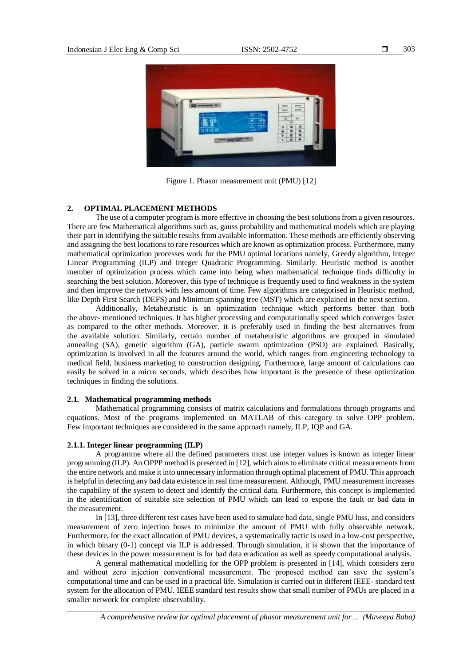

Figure 1. Phasor measurement unit (PMU) [12]

## **2. OPTIMAL PLACEMENT METHODS**

The use of a computer program is more effective in choosing the best solutions from a given resources. There are few Mathematical algorithms such as, gauss probability and mathematical models which are playing their part in identifying the suitable results from available information. These methods are efficiently observing and assigning the best locations to rare resources which are known as optimization process. Furthermore, many mathematical optimization processes work for the PMU optimal locations namely, Greedy algorithm, Integer Linear Programming (ILP) and Integer Quadratic Programming. Similarly. Heuristic method is another member of optimization process which came into being when mathematical technique finds difficulty in searching the best solution. Moreover, this type of technique is frequently used to find weakness in the system and then improve the network with less amount of time. Few algorithms are categorised in Heuristic method, like Depth First Search (DEFS) and Minimum spanning tree (MST) which are explained in the next section.

Additionally, Metaheuristic is an optimization technique which performs better than both the above- mentioned techniques. It has higher processing and computationally speed which converges faster as compared to the other methods. Moreover, it is preferably used in finding the best alternatives from the available solution. Similarly, certain number of metaheuristic algorithms are grouped in simulated annealing (SA), genetic algorithm (GA), particle swarm optimization (PSO) are explained. Basically, optimization is involved in all the features around the world, which ranges from engineering technology to medical field, business marketing to construction designing. Furthermore, large amount of calculations can easily be solved in a micro seconds, which describes how important is the presence of these optimization techniques in finding the solutions.

### **2.1. Mathematical programming methods**

Mathematical programming consists of matrix calculations and formulations through programs and equations. Most of the programs implemented on MATLAB of this category to solve OPP problem. Few important techniques are considered in the same approach namely, ILP, IQP and GA.

## **2.1.1. Integer linear programming (ILP)**

A programme where all the defined parameters must use integer values is known as integer linear programming (ILP). An OPPP method is presented in [12], which aims to eliminate critical measurements from the entire network and make it into unnecessary information through optimal placement of PMU. This approach is helpful in detecting any bad data existence in real time measurement. Although, PMU measurement increases the capability of the system to detect and identify the critical data. Furthermore, this concept is implemented in the identification of suitable site selection of PMU which can lead to expose the fault or bad data in the measurement.

In [13], three different test cases have been used to simulate bad data, single PMU loss, and considers measurement of zero injection buses to minimize the amount of PMU with fully observable network. Furthermore, for the exact allocation of PMU devices, a systematically tactic is used in a low-cost perspective, in which binary (0-1) concept via ILP is addressed. Through simulation, it is shown that the importance of these devices in the power measurement is for bad data eradication as well as speedy computational analysis.

A general mathematical modelling for the OPP problem is presented in [14], which considers zero and without zero injection conventional measurement. The proposed method can save the system's computational time and can be used in a practical life. Simulation is carried out in different IEEE- standard test system for the allocation of PMU. IEEE standard test results show that small number of PMUs are placed in a smaller network for complete observability.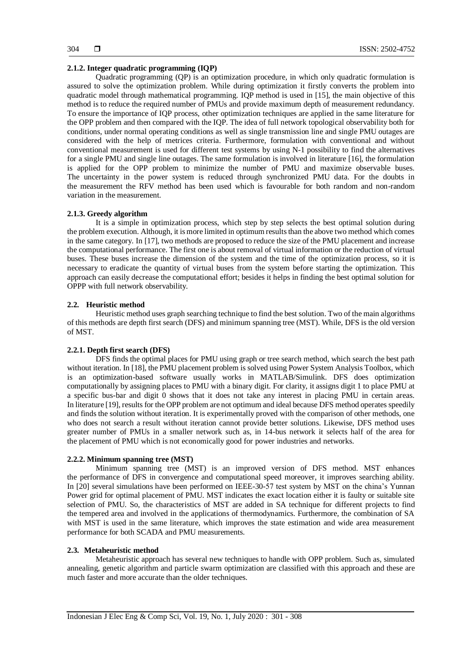## **2.1.2. Integer quadratic programming (IQP)**

Quadratic programming (QP) is an optimization procedure, in which only quadratic formulation is assured to solve the optimization problem. While during optimization it firstly converts the problem into quadratic model through mathematical programming. IQP method is used in [15], the main objective of this method is to reduce the required number of PMUs and provide maximum depth of measurement redundancy. To ensure the importance of IQP process, other optimization techniques are applied in the same literature for the OPP problem and then compared with the IQP. The idea of full network topological observability both for conditions, under normal operating conditions as well as single transmission line and single PMU outages are considered with the help of metrices criteria. Furthermore, formulation with conventional and without conventional measurement is used for different test systems by using N-1 possibility to find the alternatives for a single PMU and single line outages. The same formulation is involved in literature [16], the formulation is applied for the OPP problem to minimize the number of PMU and maximize observable buses. The uncertainty in the power system is reduced through synchronized PMU data. For the doubts in the measurement the RFV method has been used which is favourable for both random and non-random variation in the measurement.

## **2.1.3. Greedy algorithm**

It is a simple in optimization process, which step by step selects the best optimal solution during the problem execution. Although, it is more limited in optimum results than the above two method which comes in the same category. In [17], two methods are proposed to reduce the size of the PMU placement and increase the computational performance. The first one is about removal of virtual information or the reduction of virtual buses. These buses increase the dimension of the system and the time of the optimization process, so it is necessary to eradicate the quantity of virtual buses from the system before starting the optimization. This approach can easily decrease the computational effort; besides it helps in finding the best optimal solution for OPPP with full network observability.

#### **2.2. Heuristic method**

Heuristic method uses graph searching technique to find the best solution. Two of the main algorithms of this methods are depth first search (DFS) and minimum spanning tree (MST). While, DFS is the old version of MST.

## **2.2.1. Depth first search (DFS)**

DFS finds the optimal places for PMU using graph or tree search method, which search the best path without iteration. In [18], the PMU placement problem is solved using Power System Analysis Toolbox, which is an optimization-based software usually works in MATLAB/Simulink. DFS does optimization computationally by assigning places to PMU with a binary digit. For clarity, it assigns digit 1 to place PMU at a specific bus-bar and digit 0 shows that it does not take any interest in placing PMU in certain areas. In literature [19], results for the OPP problem are not optimum and ideal because DFS method operates speedily and finds the solution without iteration. It is experimentally proved with the comparison of other methods, one who does not search a result without iteration cannot provide better solutions. Likewise, DFS method uses greater number of PMUs in a smaller network such as, in 14-bus network it selects half of the area for the placement of PMU which is not economically good for power industries and networks.

#### **2.2.2. Minimum spanning tree (MST)**

Minimum spanning tree (MST) is an improved version of DFS method. MST enhances the performance of DFS in convergence and computational speed moreover, it improves searching ability. In [20] several simulations have been performed on IEEE-30-57 test system by MST on the china's Yunnan Power grid for optimal placement of PMU. MST indicates the exact location either it is faulty or suitable site selection of PMU. So, the characteristics of MST are added in SA technique for different projects to find the tempered area and involved in the applications of thermodynamics. Furthermore, the combination of SA with MST is used in the same literature, which improves the state estimation and wide area measurement performance for both SCADA and PMU measurements.

#### **2.3. Metaheuristic method**

Metaheuristic approach has several new techniques to handle with OPP problem. Such as, simulated annealing, genetic algorithm and particle swarm optimization are classified with this approach and these are much faster and more accurate than the older techniques.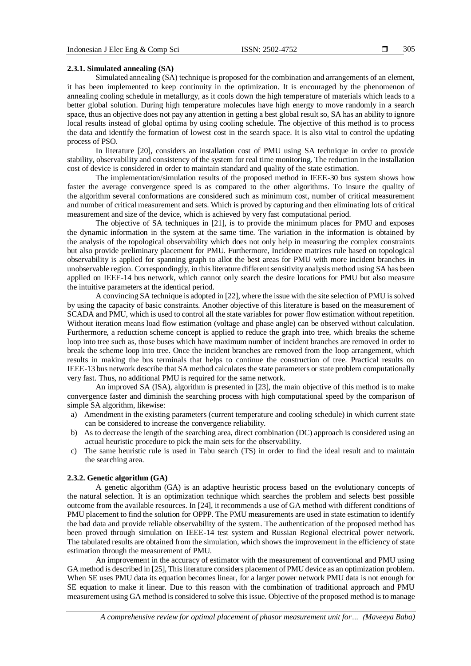### **2.3.1. Simulated annealing (SA)**

Simulated annealing (SA) technique is proposed for the combination and arrangements of an element, it has been implemented to keep continuity in the optimization. It is encouraged by the phenomenon of annealing cooling schedule in metallurgy, as it cools down the high temperature of materials which leads to a better global solution. During high temperature molecules have high energy to move randomly in a search space, thus an objective does not pay any attention in getting a best global result so, SA has an ability to ignore local results instead of global optima by using cooling schedule. The objective of this method is to process the data and identify the formation of lowest cost in the search space. It is also vital to control the updating process of PSO.

In literature [20], considers an installation cost of PMU using SA technique in order to provide stability, observability and consistency of the system for real time monitoring. The reduction in the installation cost of device is considered in order to maintain standard and quality of the state estimation.

The implementation/simulation results of the proposed method in IEEE-30 bus system shows how faster the average convergence speed is as compared to the other algorithms. To insure the quality of the algorithm several conformations are considered such as minimum cost, number of critical measurement and number of critical measurement and sets. Which is proved by capturing and then eliminating lots of critical measurement and size of the device, which is achieved by very fast computational period.

The objective of SA techniques in [21], is to provide the minimum places for PMU and exposes the dynamic information in the system at the same time. The variation in the information is obtained by the analysis of the topological observability which does not only help in measuring the complex constraints but also provide preliminary placement for PMU. Furthermore, Incidence matrices rule based on topological observability is applied for spanning graph to allot the best areas for PMU with more incident branches in unobservable region. Correspondingly, in this literature different sensitivity analysis method using SA has been applied on IEEE-14 bus network, which cannot only search the desire locations for PMU but also measure the intuitive parameters at the identical period.

A convincing SA technique is adopted in [22], where the issue with the site selection of PMU is solved by using the capacity of basic constraints. Another objective of this literature is based on the measurement of SCADA and PMU, which is used to control all the state variables for power flow estimation without repetition. Without iteration means load flow estimation (voltage and phase angle) can be observed without calculation. Furthermore, a reduction scheme concept is applied to reduce the graph into tree, which breaks the scheme loop into tree such as, those buses which have maximum number of incident branches are removed in order to break the scheme loop into tree. Once the incident branches are removed from the loop arrangement, which results in making the bus terminals that helps to continue the construction of tree. Practical results on IEEE-13 bus network describe that SA method calculates the state parameters or state problem computationally very fast. Thus, no additional PMU is required for the same network.

An improved SA (ISA), algorithm is presented in [23], the main objective of this method is to make convergence faster and diminish the searching process with high computational speed by the comparison of simple SA algorithm, likewise:

- a) Amendment in the existing parameters (current temperature and cooling schedule) in which current state can be considered to increase the convergence reliability.
- b) As to decrease the length of the searching area, direct combination (DC) approach is considered using an actual heuristic procedure to pick the main sets for the observability.
- c) The same heuristic rule is used in Tabu search (TS) in order to find the ideal result and to maintain the searching area.

#### **2.3.2. Genetic algorithm (GA)**

A genetic algorithm (GA) is an adaptive heuristic process based on the evolutionary concepts of the natural selection. It is an optimization technique which searches the problem and selects best possible outcome from the available resources. In [24], it recommends a use of GA method with different conditions of PMU placement to find the solution for OPPP. The PMU measurements are used in state estimation to identify the bad data and provide reliable observability of the system. The authentication of the proposed method has been proved through simulation on IEEE-14 test system and Russian Regional electrical power network. The tabulated results are obtained from the simulation, which shows the improvement in the efficiency of state estimation through the measurement of PMU.

An improvement in the accuracy of estimator with the measurement of conventional and PMU using GA method is described in [25], This literature considers placement of PMU device as an optimization problem. When SE uses PMU data its equation becomes linear, for a larger power network PMU data is not enough for SE equation to make it linear. Due to this reason with the combination of traditional approach and PMU measurement using GA method is considered to solve this issue. Objective of the proposed method is to manage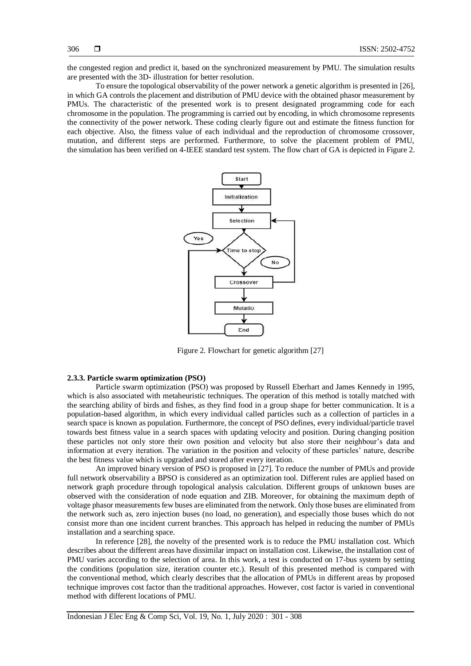the congested region and predict it, based on the synchronized measurement by PMU. The simulation results are presented with the 3D- illustration for better resolution.

To ensure the topological observability of the power network a genetic algorithm is presented in [26], in which GA controls the placement and distribution of PMU device with the obtained phasor measurement by PMUs. The characteristic of the presented work is to present designated programming code for each chromosome in the population. The programming is carried out by encoding, in which chromosome represents the connectivity of the power network. These coding clearly figure out and estimate the fitness function for each objective. Also, the fitness value of each individual and the reproduction of chromosome crossover, mutation, and different steps are performed. Furthermore, to solve the placement problem of PMU, the simulation has been verified on 4-IEEE standard test system. The flow chart of GA is depicted in Figure 2.



Figure 2. Flowchart for genetic algorithm [27]

## **2.3.3. Particle swarm optimization (PSO)**

Particle swarm optimization (PSO) was proposed by Russell Eberhart and James Kennedy in 1995, which is also associated with metaheuristic techniques. The operation of this method is totally matched with the searching ability of birds and fishes, as they find food in a group shape for better communication. It is a population-based algorithm, in which every individual called particles such as a collection of particles in a search space is known as population. Furthermore, the concept of PSO defines, every individual/particle travel towards best fitness value in a search spaces with updating velocity and position. During changing position these particles not only store their own position and velocity but also store their neighbour's data and information at every iteration. The variation in the position and velocity of these particles' nature, describe the best fitness value which is upgraded and stored after every iteration.

An improved binary version of PSO is proposed in [27]. To reduce the number of PMUs and provide full network observability a BPSO is considered as an optimization tool. Different rules are applied based on network graph procedure through topological analysis calculation. Different groups of unknown buses are observed with the consideration of node equation and ZIB. Moreover, for obtaining the maximum depth of voltage phasor measurements few buses are eliminated from the network. Only those buses are eliminated from the network such as, zero injection buses (no load, no generation), and especially those buses which do not consist more than one incident current branches. This approach has helped in reducing the number of PMUs installation and a searching space.

In reference [28], the novelty of the presented work is to reduce the PMU installation cost. Which describes about the different areas have dissimilar impact on installation cost. Likewise, the installation cost of PMU varies according to the selection of area. In this work, a test is conducted on 17-bus system by setting the conditions (population size, iteration counter etc.). Result of this presented method is compared with the conventional method, which clearly describes that the allocation of PMUs in different areas by proposed technique improves cost factor than the traditional approaches. However, cost factor is varied in conventional method with different locations of PMU.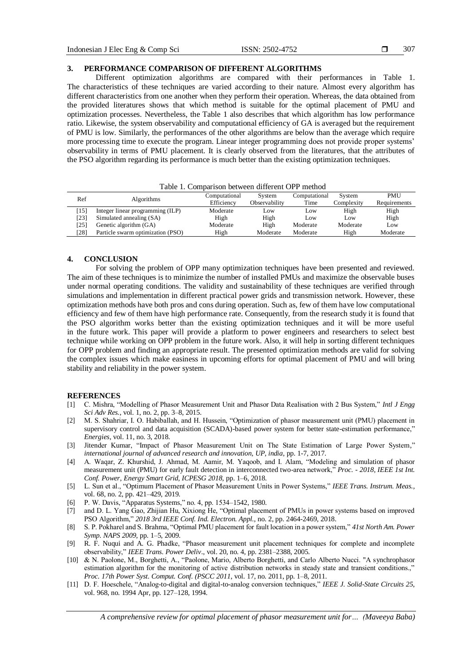### 307

#### **3. PERFORMANCE COMPARISON OF DIFFERENT ALGORITHMS**

Different optimization algorithms are compared with their performances in Table 1. The characteristics of these techniques are varied according to their nature. Almost every algorithm has different characteristics from one another when they perform their operation. Whereas, the data obtained from the provided literatures shows that which method is suitable for the optimal placement of PMU and optimization processes. Nevertheless, the Table 1 also describes that which algorithm has low performance ratio. Likewise, the system observability and computational efficiency of GA is averaged but the requirement of PMU is low. Similarly, the performances of the other algorithms are below than the average which require more processing time to execute the program. Linear integer programming does not provide proper systems' observability in terms of PMU placement. It is clearly observed from the literatures, that the attributes of the PSO algorithm regarding its performance is much better than the existing optimization techniques.

| тале т. сонилитолгоскост антегент от г театоа |                                   |               |               |               |            |              |  |  |
|-----------------------------------------------|-----------------------------------|---------------|---------------|---------------|------------|--------------|--|--|
| Ref                                           | <b>Algorithms</b>                 | Computational | System        | Computational | System     | <b>PMU</b>   |  |  |
|                                               |                                   | Efficiency    | Observability | Time          | Complexity | Requirements |  |  |
| 15                                            | Integer linear programming (ILP)  | Moderate      | LOW           | Low           | High       | High         |  |  |
| 231                                           | Simulated annealing (SA)          | High          | High          | Low           | Low        | High         |  |  |
| 251                                           | Genetic algorithm (GA)            | Moderate      | High          | Moderate      | Moderate   | Low          |  |  |
| 281                                           | Particle swarm optimization (PSO) | High          | Moderate      | Moderate      | High       | Moderate     |  |  |
|                                               |                                   |               |               |               |            |              |  |  |

Table 1. Comparison between different OPP method

#### **4. CONCLUSION**

For solving the problem of OPP many optimization techniques have been presented and reviewed. The aim of these techniques is to minimize the number of installed PMUs and maximize the observable buses under normal operating conditions. The validity and sustainability of these techniques are verified through simulations and implementation in different practical power grids and transmission network. However, these optimization methods have both pros and cons during operation. Such as, few of them have low computational efficiency and few of them have high performance rate. Consequently, from the research study it is found that the PSO algorithm works better than the existing optimization techniques and it will be more useful in the future work. This paper will provide a platform to power engineers and researchers to select best technique while working on OPP problem in the future work. Also, it will help in sorting different techniques for OPP problem and finding an appropriate result. The presented optimization methods are valid for solving the complex issues which make easiness in upcoming efforts for optimal placement of PMU and will bring stability and reliability in the power system.

## **REFERENCES**

- [1] C. Mishra, "Modelling of Phasor Measurement Unit and Phasor Data Realisation with 2 Bus System," *Intl J Engg Sci Adv Res.*, vol. 1, no. 2, pp. 3–8, 2015.
- [2] M. S. Shahriar, I. O. Habiballah, and H. Hussein, "Optimization of phasor measurement unit (PMU) placement in supervisory control and data acquisition (SCADA)-based power system for better state-estimation performance," *Energies*, vol. 11, no. 3, 2018.
- [3] Jitender Kumar, "Impact of Phasor Measurement Unit on The State Estimation of Large Power System," *international journal of advanced research and innovation, UP, india,* pp. 1-7, 2017.
- [4] A. Waqar, Z. Khurshid, J. Ahmad, M. Aamir, M. Yaqoob, and I. Alam, "Modeling and simulation of phasor measurement unit (PMU) for early fault detection in interconnected two-area network," *Proc. - 2018, IEEE 1st Int. Conf. Power, Energy Smart Grid, ICPESG 2018,* pp. 1–6, 2018.
- [5] L. Sun et al., "Optimum Placement of Phasor Measurement Units in Power Systems," *IEEE Trans. Instrum. Meas.,* vol. 68, no. 2, pp. 421–429, 2019.
- [6] P. W. Davis, "Apparatus Systems," no. 4, pp. 1534–1542, 1980.
- [7] and D. L. Yang Gao, Zhijian Hu, Xixiong He, "Optimal placement of PMUs in power systems based on improved PSO Algorithm," *2018 3rd IEEE Conf. Ind. Electron. Appl.,* no. 2, pp. 2464-2469, 2018.
- [8] S. P. Pokharel and S. Brahma, "Optimal PMU placement for fault location in a power system," *41st North Am. Power Symp. NAPS 2009*, pp. 1–5, 2009.
- [9] R. F. Nuqui and A. G. Phadke, "Phasor measurement unit placement techniques for complete and incomplete observability," *IEEE Trans. Power Deliv*., vol. 20, no. 4, pp. 2381–2388, 2005.
- [10] & N. Paolone, M., Borghetti, A., "Paolone, Mario, Alberto Borghetti, and Carlo Alberto Nucci. "A synchrophasor estimation algorithm for the monitoring of active distribution networks in steady state and transient conditions.," *Proc. 17th Power Syst. Comput. Conf. (PSCC 2011*, vol. 17, no. 2011, pp. 1–8, 2011.
- [11] D. F. Hoeschele, "Analog-to-digital and digital-to-analog conversion techniques," *IEEE J. Solid-State Circuits 25*, vol. 968, no. 1994 Apr, pp. 127–128, 1994.